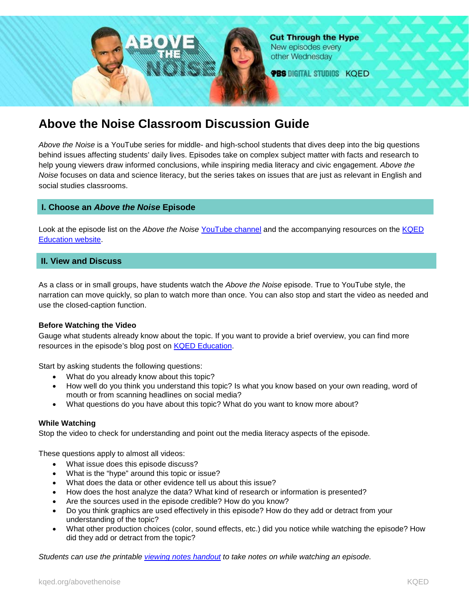

# **Above the Noise Classroom Discussion Guide**

*Above the Noise* is a YouTube series for middle- and high-school students that dives deep into the big questions behind issues affecting students' daily lives. Episodes take on complex subject matter with facts and research to help young viewers draw informed conclusions, while inspiring media literacy and civic engagement. *Above the Noise* focuses on data and science literacy, but the series takes on issues that are just as relevant in English and social studies classrooms.

# **I. Choose an** *Above the Noise* **Episode**

Look at the episode list on the *Above the Noise* [YouTube channel](https://www.youtube.com/channel/UC4K10PNjqgGLKA3lo5V8KdQ) and the accompanying resources on the [KQED](https://ww2.kqed.org/education/collections/above-the-noise/)  [Education](https://ww2.kqed.org/education/collections/above-the-noise/) website.

# **II. View and Discuss**

As a class or in small groups, have students watch the *Above the Noise* episode. True to YouTube style, the narration can move quickly, so plan to watch more than once. You can also stop and start the video as needed and use the closed-caption function.

## **Before Watching the Video**

Gauge what students already know about the topic. If you want to provide a brief overview, you can find more resources in the episode's blog post on [KQED Education.](https://ww2.kqed.org/education/collections/above-the-noise/)

Start by asking students the following questions:

- What do you already know about this topic?
- How well do you think you understand this topic? Is what you know based on your own reading, word of mouth or from scanning headlines on social media?
- What questions do you have about this topic? What do you want to know more about?

## **While Watching**

Stop the video to check for understanding and point out the media literacy aspects of the episode.

These questions apply to almost all videos:

- What issue does this episode discuss?
- What is the "hype" around this topic or issue?
- What does the data or other evidence tell us about this issue?
- How does the host analyze the data? What kind of research or information is presented?
- Are the sources used in the episode credible? How do you know?
- Do you think graphics are used effectively in this episode? How do they add or detract from your understanding of the topic?
- What other production choices (color, sound effects, etc.) did you notice while watching the episode? How did they add or detract from the topic?

*Students can use the printable [viewing notes handout](https://ww2.kqed.org/education/wp-content/uploads/sites/38/2017/07/Above-the-Noise-Student-Viewing-Notes.pdf) to take notes on while watching an episode.*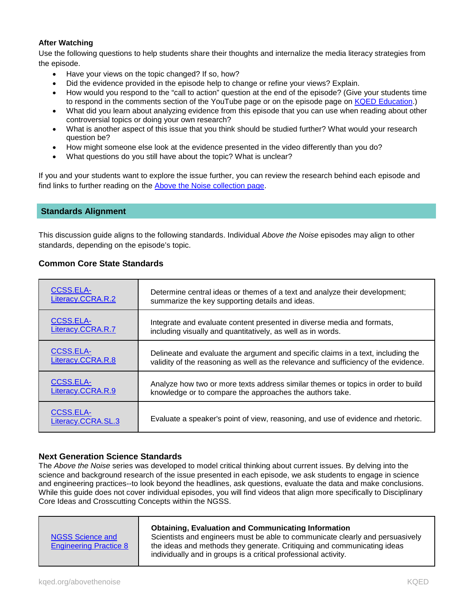# **After Watching**

Use the following questions to help students share their thoughts and internalize the media literacy strategies from the episode.

- Have your views on the topic changed? If so, how?
- Did the evidence provided in the episode help to change or refine your views? Explain.
- How would you respond to the "call to action" question at the end of the episode? (Give your students time to respond in the comments section of the YouTube page or on the episode page on [KQED Education.](https://ww2.kqed.org/education/collections/above-the-noise/))
- What did you learn about analyzing evidence from this episode that you can use when reading about other controversial topics or doing your own research?
- What is another aspect of this issue that you think should be studied further? What would your research question be?
- How might someone else look at the evidence presented in the video differently than you do?
- What questions do you still have about the topic? What is unclear?

If you and your students want to explore the issue further, you can review the research behind each episode and find links to further reading on the [Above the Noise collection page.](https://ww2.kqed.org/education/collections/above-the-noise/)

## **Standards Alignment**

This discussion guide aligns to the following standards. Individual *Above the Noise* episodes may align to other standards, depending on the episode's topic.

## **Common Core State Standards**

| <b>CCSS.ELA-</b>                       | Determine central ideas or themes of a text and analyze their development;          |
|----------------------------------------|-------------------------------------------------------------------------------------|
| Literacy.CCRA.R.2                      | summarize the key supporting details and ideas.                                     |
| CCSS.ELA-                              | Integrate and evaluate content presented in diverse media and formats,              |
| Literacy.CCRA.R.7                      | including visually and quantitatively, as well as in words.                         |
| <b>CCSS.ELA-</b>                       | Delineate and evaluate the argument and specific claims in a text, including the    |
| Literacy.CCRA.R.8                      | validity of the reasoning as well as the relevance and sufficiency of the evidence. |
| CCSS.ELA-                              | Analyze how two or more texts address similar themes or topics in order to build    |
| Literacy.CCRA.R.9                      | knowledge or to compare the approaches the authors take.                            |
| <b>CCSS.ELA-</b><br>Literacy.CCRA.SL.3 | Evaluate a speaker's point of view, reasoning, and use of evidence and rhetoric.    |

## **Next Generation Science Standards**

The *Above the Noise* series was developed to model critical thinking about current issues. By delving into the science and background research of the issue presented in each episode, we ask students to engage in science and engineering practices--to look beyond the headlines, ask questions, evaluate the data and make conclusions. While this guide does not cover individual episodes, you will find videos that align more specifically to Disciplinary Core Ideas and Crosscutting Concepts within the NGSS.

| <b>NGSS Science and</b><br><b>Engineering Practice 8</b> | <b>Obtaining, Evaluation and Communicating Information</b><br>Scientists and engineers must be able to communicate clearly and persuasively<br>the ideas and methods they generate. Critiquing and communicating ideas<br>individually and in groups is a critical professional activity. |
|----------------------------------------------------------|-------------------------------------------------------------------------------------------------------------------------------------------------------------------------------------------------------------------------------------------------------------------------------------------|
|----------------------------------------------------------|-------------------------------------------------------------------------------------------------------------------------------------------------------------------------------------------------------------------------------------------------------------------------------------------|